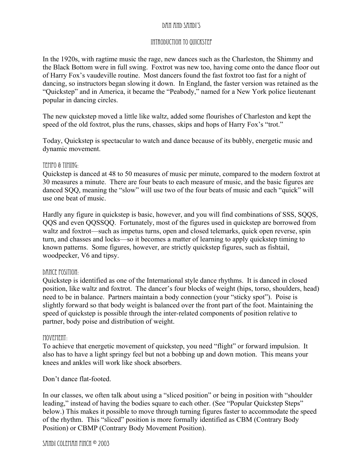# DAN and SANDI'S

## INTRODUCTION TO QUICKSTEP

In the 1920s, with ragtime music the rage, new dances such as the Charleston, the Shimmy and the Black Bottom were in full swing. Foxtrot was new too, having come onto the dance floor out of Harry Fox's vaudeville routine. Most dancers found the fast foxtrot too fast for a night of dancing, so instructors began slowing it down. In England, the faster version was retained as the "Quickstep" and in America, it became the "Peabody," named for a New York police lieutenant popular in dancing circles.

The new quickstep moved a little like waltz, added some flourishes of Charleston and kept the speed of the old foxtrot, plus the runs, chasses, skips and hops of Harry Fox's "trot."

Today, Quickstep is spectacular to watch and dance because of its bubbly, energetic music and dynamic movement.

## TEMPO & TIMING:

Quickstep is danced at 48 to 50 measures of music per minute, compared to the modern foxtrot at 30 measures a minute. There are four beats to each measure of music, and the basic figures are danced SQQ, meaning the "slow" will use two of the four beats of music and each "quick" will use one beat of music.

Hardly any figure in quickstep is basic, however, and you will find combinations of SSS, SQQS, QQS and even QQSSQQ. Fortunately, most of the figures used in quickstep are borrowed from waltz and foxtrot—such as impetus turns, open and closed telemarks, quick open reverse, spin turn, and chasses and locks—so it becomes a matter of learning to apply quickstep timing to known patterns. Some figures, however, are strictly quickstep figures, such as fishtail, woodpecker, V6 and tipsy.

## DANCE POSITION:

Quickstep is identified as one of the International style dance rhythms. It is danced in closed position, like waltz and foxtrot. The dancer's four blocks of weight (hips, torso, shoulders, head) need to be in balance. Partners maintain a body connection (your "sticky spot"). Poise is slightly forward so that body weight is balanced over the front part of the foot. Maintaining the speed of quickstep is possible through the inter-related components of position relative to partner, body poise and distribution of weight.

### MOVEMENT:

To achieve that energetic movement of quickstep, you need "flight" or forward impulsion. It also has to have a light springy feel but not a bobbing up and down motion. This means your knees and ankles will work like shock absorbers.

Don't dance flat-footed.

In our classes, we often talk about using a "sliced position" or being in position with "shoulder leading," instead of having the bodies square to each other. (See "Popular Quickstep Steps" below.) This makes it possible to move through turning figures faster to accommodate the speed of the rhythm. This "sliced" position is more formally identified as CBM (Contrary Body Position) or CBMP (Contrary Body Movement Position).